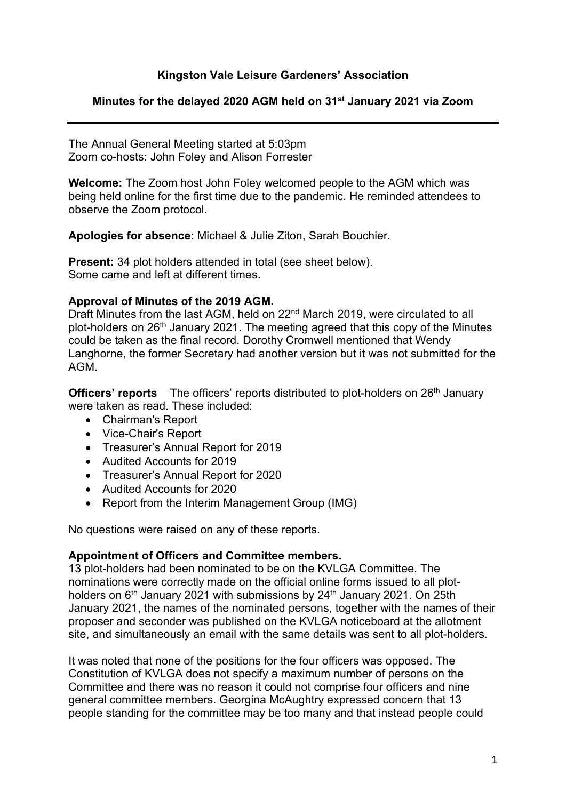## **Kingston Vale Leisure Gardeners' Association**

#### **Minutes for the delayed 2020 AGM held on 31st January 2021 via Zoom**

The Annual General Meeting started at 5:03pm Zoom co-hosts: John Foley and Alison Forrester

**Welcome:** The Zoom host John Foley welcomed people to the AGM which was being held online for the first time due to the pandemic. He reminded attendees to observe the Zoom protocol.

**Apologies for absence**: Michael & Julie Ziton, Sarah Bouchier.

**Present:** 34 plot holders attended in total (see sheet below). Some came and left at different times.

#### **Approval of Minutes of the 2019 AGM.**

Draft Minutes from the last AGM, held on 22<sup>nd</sup> March 2019, were circulated to all plot-holders on 26<sup>th</sup> January 2021. The meeting agreed that this copy of the Minutes could be taken as the final record. Dorothy Cromwell mentioned that Wendy Langhorne, the former Secretary had another version but it was not submitted for the AGM.

**Officers' reports** The officers' reports distributed to plot-holders on 26<sup>th</sup> January were taken as read. These included:

- Chairman's Report
- Vice-Chair's Report
- Treasurer's Annual Report for 2019
- Audited Accounts for 2019
- Treasurer's Annual Report for 2020
- Audited Accounts for 2020
- Report from the Interim Management Group (IMG)

No questions were raised on any of these reports.

#### **Appointment of Officers and Committee members.**

13 plot-holders had been nominated to be on the KVLGA Committee. The nominations were correctly made on the official online forms issued to all plotholders on  $6<sup>th</sup>$  January 2021 with submissions by 24<sup>th</sup> January 2021. On 25th January 2021, the names of the nominated persons, together with the names of their proposer and seconder was published on the KVLGA noticeboard at the allotment site, and simultaneously an email with the same details was sent to all plot-holders.

It was noted that none of the positions for the four officers was opposed. The Constitution of KVLGA does not specify a maximum number of persons on the Committee and there was no reason it could not comprise four officers and nine general committee members. Georgina McAughtry expressed concern that 13 people standing for the committee may be too many and that instead people could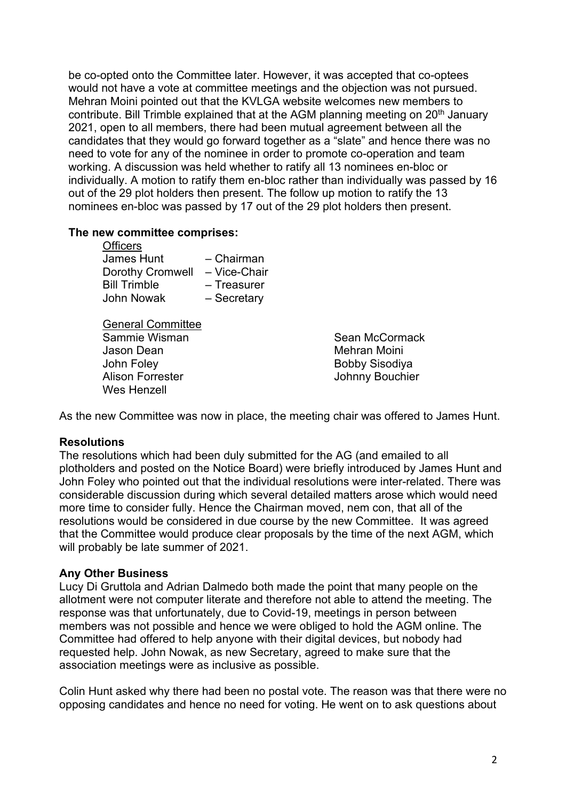be co-opted onto the Committee later. However, it was accepted that co-optees would not have a vote at committee meetings and the objection was not pursued. Mehran Moini pointed out that the KVLGA website welcomes new members to contribute. Bill Trimble explained that at the AGM planning meeting on 20<sup>th</sup> January 2021, open to all members, there had been mutual agreement between all the candidates that they would go forward together as a "slate" and hence there was no need to vote for any of the nominee in order to promote co-operation and team working. A discussion was held whether to ratify all 13 nominees en-bloc or individually. A motion to ratify them en-bloc rather than individually was passed by 16 out of the 29 plot holders then present. The follow up motion to ratify the 13 nominees en-bloc was passed by 17 out of the 29 plot holders then present.

#### **The new committee comprises:**

| - Chairman   |
|--------------|
| - Vice-Chair |
| - Treasurer  |
| - Secretary  |
|              |

General Committee Sammie Wisman Jason Dean John Foley Alison Forrester Wes Henzell

Sean McCormack Mehran Moini Bobby Sisodiya Johnny Bouchier

As the new Committee was now in place, the meeting chair was offered to James Hunt.

### **Resolutions**

The resolutions which had been duly submitted for the AG (and emailed to all plotholders and posted on the Notice Board) were briefly introduced by James Hunt and John Foley who pointed out that the individual resolutions were inter-related. There was considerable discussion during which several detailed matters arose which would need more time to consider fully. Hence the Chairman moved, nem con, that all of the resolutions would be considered in due course by the new Committee. It was agreed that the Committee would produce clear proposals by the time of the next AGM, which will probably be late summer of 2021.

## **Any Other Business**

Lucy Di Gruttola and Adrian Dalmedo both made the point that many people on the allotment were not computer literate and therefore not able to attend the meeting. The response was that unfortunately, due to Covid-19, meetings in person between members was not possible and hence we were obliged to hold the AGM online. The Committee had offered to help anyone with their digital devices, but nobody had requested help. John Nowak, as new Secretary, agreed to make sure that the association meetings were as inclusive as possible.

Colin Hunt asked why there had been no postal vote. The reason was that there were no opposing candidates and hence no need for voting. He went on to ask questions about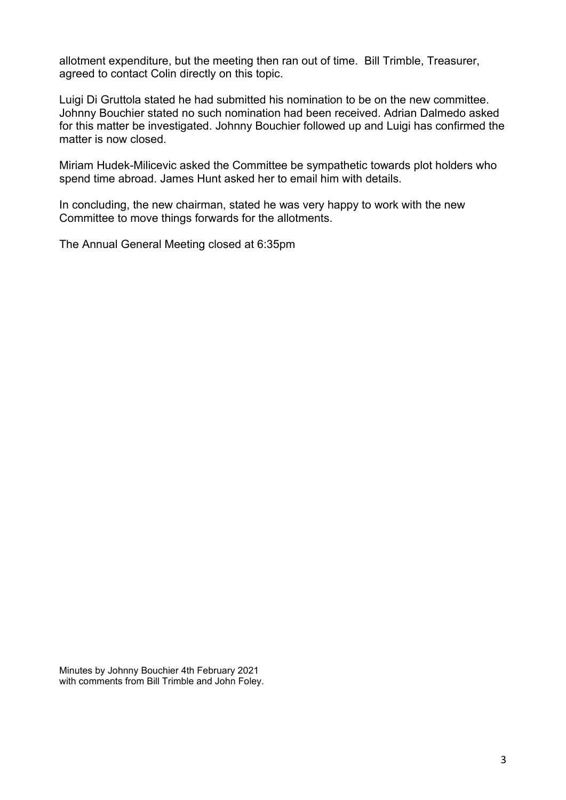allotment expenditure, but the meeting then ran out of time. Bill Trimble, Treasurer, agreed to contact Colin directly on this topic.

Luigi Di Gruttola stated he had submitted his nomination to be on the new committee. Johnny Bouchier stated no such nomination had been received. Adrian Dalmedo asked for this matter be investigated. Johnny Bouchier followed up and Luigi has confirmed the matter is now closed.

Miriam Hudek-Milicevic asked the Committee be sympathetic towards plot holders who spend time abroad. James Hunt asked her to email him with details.

In concluding, the new chairman, stated he was very happy to work with the new Committee to move things forwards for the allotments.

The Annual General Meeting closed at 6:35pm

Minutes by Johnny Bouchier 4th February 2021 with comments from Bill Trimble and John Foley.